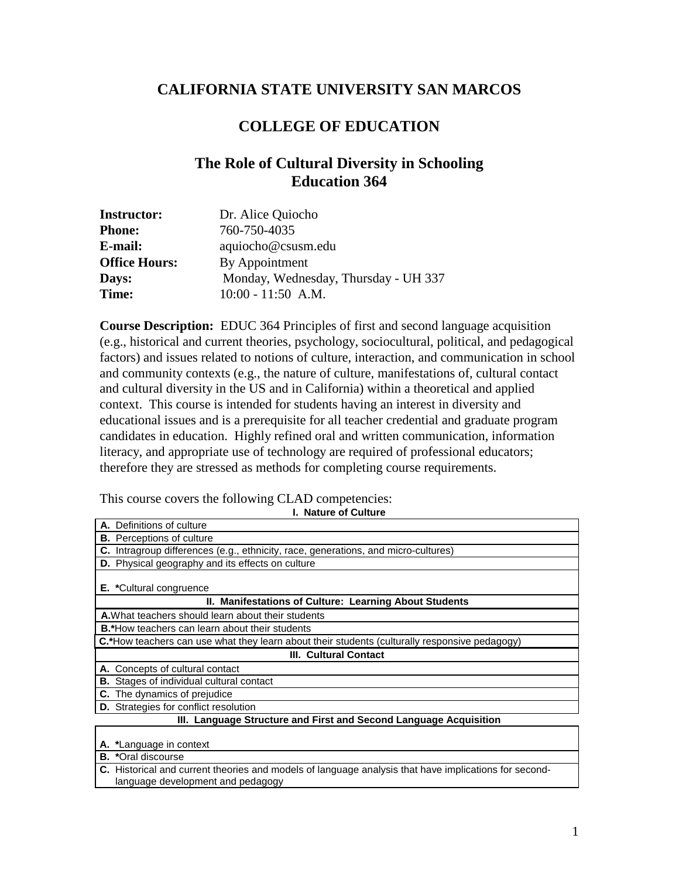# **CALIFORNIA STATE UNIVERSITY SAN MARCOS**

# **COLLEGE OF EDUCATION**

# **The Role of Cultural Diversity in Schooling Education 364**

| <b>Instructor:</b>   | Dr. Alice Quiocho                    |
|----------------------|--------------------------------------|
| <b>Phone:</b>        | 760-750-4035                         |
| E-mail:              | aquiocho@csusm.edu                   |
| <b>Office Hours:</b> | By Appointment                       |
| Days:                | Monday, Wednesday, Thursday - UH 337 |
| Time:                | $10:00 - 11:50$ A.M.                 |

**Course Description:** EDUC 364 Principles of first and second language acquisition (e.g., historical and current theories, psychology, sociocultural, political, and pedagogical factors) and issues related to notions of culture, interaction, and communication in school and community contexts (e.g., the nature of culture, manifestations of, cultural contact and cultural diversity in the US and in California) within a theoretical and applied context. This course is intended for students having an interest in diversity and educational issues and is a prerequisite for all teacher credential and graduate program candidates in education. Highly refined oral and written communication, information literacy, and appropriate use of technology are required of professional educators; therefore they are stressed as methods for completing course requirements.

This course covers the following CLAD competencies:

**I. Nature of Culture**

| A. Definitions of culture                                                                     |  |  |
|-----------------------------------------------------------------------------------------------|--|--|
| <b>B.</b> Perceptions of culture                                                              |  |  |
| <b>C.</b> Intragroup differences (e.g., ethnicity, race, generations, and micro-cultures)     |  |  |
| D. Physical geography and its effects on culture                                              |  |  |
| <b>E.</b> *Cultural congruence                                                                |  |  |
| II. Manifestations of Culture: Learning About Students                                        |  |  |
| A. What teachers should learn about their students                                            |  |  |
| <b>B.*</b> How teachers can learn about their students                                        |  |  |
| C.*How teachers can use what they learn about their students (culturally responsive pedagogy) |  |  |
| <b>III. Cultural Contact</b>                                                                  |  |  |
| A. Concepts of cultural contact                                                               |  |  |
| <b>B.</b> Stages of individual cultural contact                                               |  |  |
| C. The dynamics of prejudice                                                                  |  |  |
| <b>D.</b> Strategies for conflict resolution                                                  |  |  |
| III. Language Structure and First and Second Language Acquisition                             |  |  |
| A. *Language in context                                                                       |  |  |
| $\blacksquare$                                                                                |  |  |

**B. \***Oral discourse

**C.** Historical and current theories and models of language analysis that have implications for secondlanguage development and pedagogy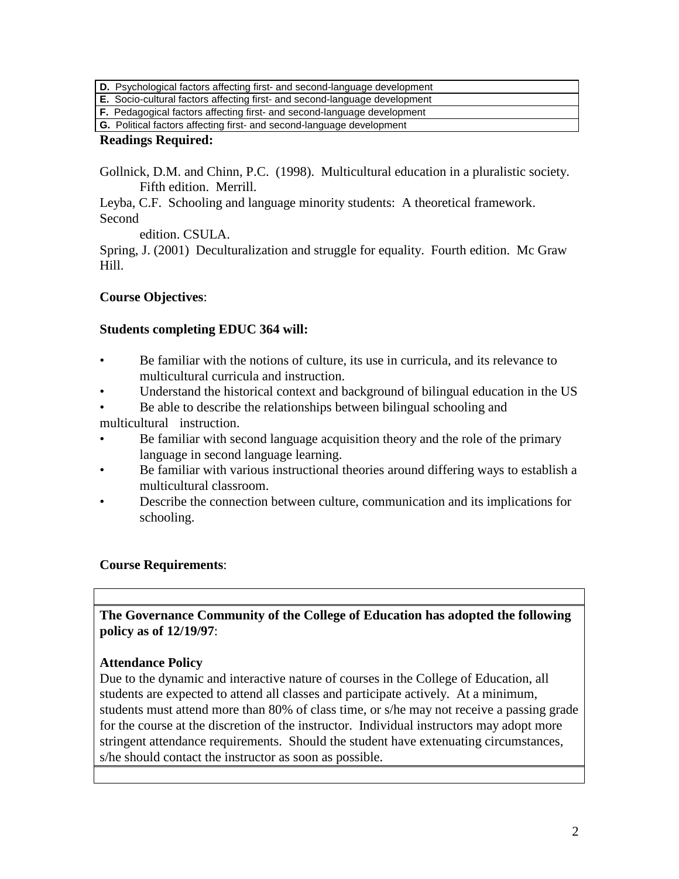**D.** Psychological factors affecting first- and second-language development

**E.** Socio-cultural factors affecting first- and second-language development

**F.** Pedagogical factors affecting first- and second-language development

# **G.** Political factors affecting first- and second-language development

# **Readings Required:**

Gollnick, D.M. and Chinn, P.C. (1998). Multicultural education in a pluralistic society. Fifth edition. Merrill.

Leyba, C.F. Schooling and language minority students: A theoretical framework. Second

edition. CSULA.

Spring, J. (2001) Deculturalization and struggle for equality. Fourth edition. Mc Graw Hill.

# **Course Objectives**:

# **Students completing EDUC 364 will:**

- Be familiar with the notions of culture, its use in curricula, and its relevance to multicultural curricula and instruction.
- Understand the historical context and background of bilingual education in the US
- Be able to describe the relationships between bilingual schooling and multicultural instruction.
- Be familiar with second language acquisition theory and the role of the primary language in second language learning.
- Be familiar with various instructional theories around differing ways to establish a multicultural classroom.
- Describe the connection between culture, communication and its implications for schooling.

# **Course Requirements**:

**The Governance Community of the College of Education has adopted the following policy as of 12/19/97**:

# **Attendance Policy**

Due to the dynamic and interactive nature of courses in the College of Education, all students are expected to attend all classes and participate actively. At a minimum, students must attend more than 80% of class time, or s/he may not receive a passing grade for the course at the discretion of the instructor. Individual instructors may adopt more stringent attendance requirements. Should the student have extenuating circumstances, s/he should contact the instructor as soon as possible.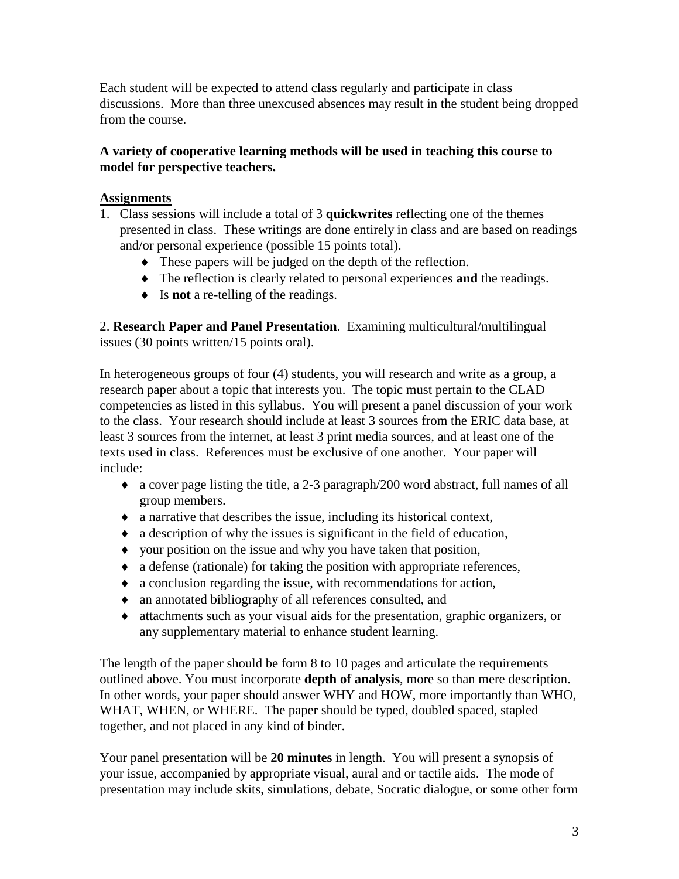Each student will be expected to attend class regularly and participate in class discussions. More than three unexcused absences may result in the student being dropped from the course.

# **A variety of cooperative learning methods will be used in teaching this course to model for perspective teachers.**

# **Assignments**

- 1. Class sessions will include a total of 3 **quickwrites** reflecting one of the themes presented in class. These writings are done entirely in class and are based on readings and/or personal experience (possible 15 points total).
	- ♦ These papers will be judged on the depth of the reflection.
	- ♦ The reflection is clearly related to personal experiences **and** the readings.
	- ♦ Is **not** a re-telling of the readings.

2. **Research Paper and Panel Presentation**. Examining multicultural/multilingual issues (30 points written/15 points oral).

In heterogeneous groups of four (4) students, you will research and write as a group, a research paper about a topic that interests you. The topic must pertain to the CLAD competencies as listed in this syllabus. You will present a panel discussion of your work to the class. Your research should include at least 3 sources from the ERIC data base, at least 3 sources from the internet, at least 3 print media sources, and at least one of the texts used in class. References must be exclusive of one another. Your paper will include:

- ♦ a cover page listing the title, a 2-3 paragraph/200 word abstract, full names of all group members.
- ♦ a narrative that describes the issue, including its historical context,
- ♦ a description of why the issues is significant in the field of education,
- ♦ your position on the issue and why you have taken that position,
- ♦ a defense (rationale) for taking the position with appropriate references,
- ♦ a conclusion regarding the issue, with recommendations for action,
- ♦ an annotated bibliography of all references consulted, and
- ♦ attachments such as your visual aids for the presentation, graphic organizers, or any supplementary material to enhance student learning.

The length of the paper should be form 8 to 10 pages and articulate the requirements outlined above. You must incorporate **depth of analysis**, more so than mere description. In other words, your paper should answer WHY and HOW, more importantly than WHO, WHAT, WHEN, or WHERE. The paper should be typed, doubled spaced, stapled together, and not placed in any kind of binder.

Your panel presentation will be **20 minutes** in length. You will present a synopsis of your issue, accompanied by appropriate visual, aural and or tactile aids. The mode of presentation may include skits, simulations, debate, Socratic dialogue, or some other form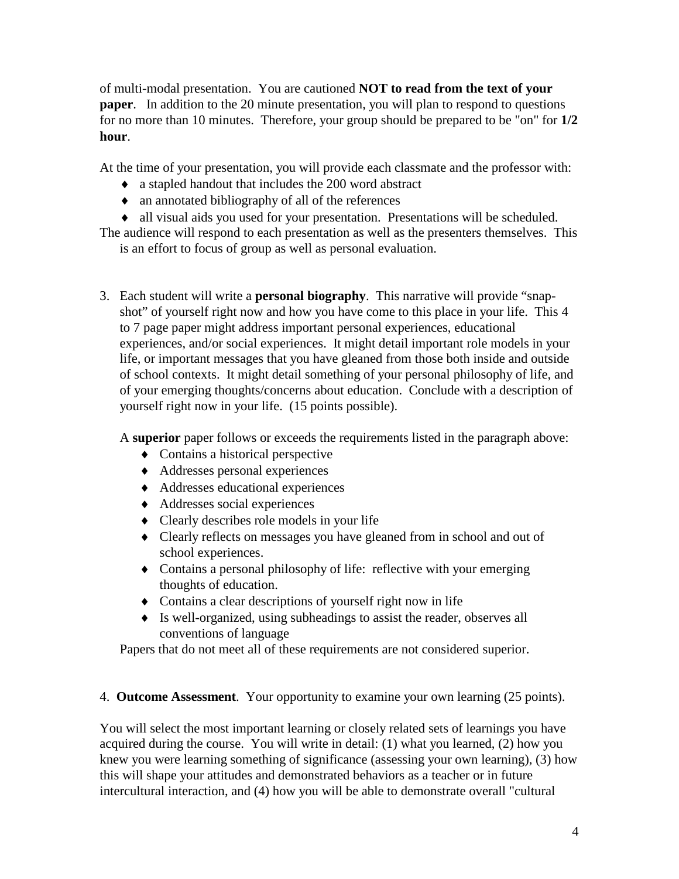of multi-modal presentation. You are cautioned **NOT to read from the text of your paper**. In addition to the 20 minute presentation, you will plan to respond to questions for no more than 10 minutes. Therefore, your group should be prepared to be "on" for **1/2 hour**.

At the time of your presentation, you will provide each classmate and the professor with:

- ♦ a stapled handout that includes the 200 word abstract
- ♦ an annotated bibliography of all of the references
- ♦ all visual aids you used for your presentation. Presentations will be scheduled.

The audience will respond to each presentation as well as the presenters themselves. This is an effort to focus of group as well as personal evaluation.

3. Each student will write a **personal biography**. This narrative will provide "snapshot" of yourself right now and how you have come to this place in your life. This 4 to 7 page paper might address important personal experiences, educational experiences, and/or social experiences. It might detail important role models in your life, or important messages that you have gleaned from those both inside and outside of school contexts. It might detail something of your personal philosophy of life, and of your emerging thoughts/concerns about education. Conclude with a description of yourself right now in your life. (15 points possible).

A **superior** paper follows or exceeds the requirements listed in the paragraph above:

- $\bullet$  Contains a historical perspective
- ♦ Addresses personal experiences
- ♦ Addresses educational experiences
- ♦ Addresses social experiences
- ♦ Clearly describes role models in your life
- ♦ Clearly reflects on messages you have gleaned from in school and out of school experiences.
- ♦ Contains a personal philosophy of life: reflective with your emerging thoughts of education.
- ♦ Contains a clear descriptions of yourself right now in life
- ♦ Is well-organized, using subheadings to assist the reader, observes all conventions of language

Papers that do not meet all of these requirements are not considered superior.

# 4. **Outcome Assessment**. Your opportunity to examine your own learning (25 points).

You will select the most important learning or closely related sets of learnings you have acquired during the course. You will write in detail: (1) what you learned, (2) how you knew you were learning something of significance (assessing your own learning), (3) how this will shape your attitudes and demonstrated behaviors as a teacher or in future intercultural interaction, and (4) how you will be able to demonstrate overall "cultural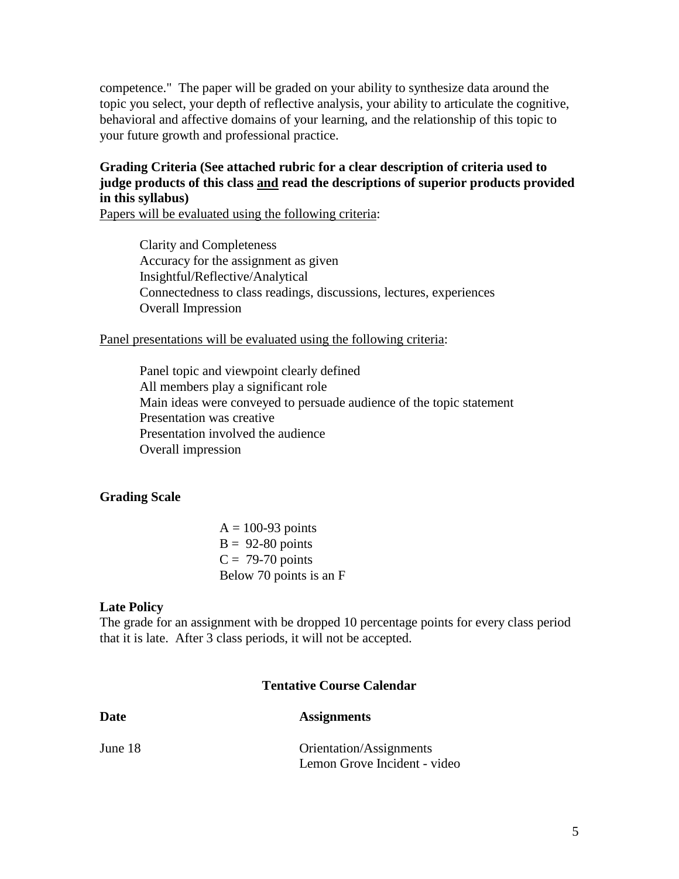competence." The paper will be graded on your ability to synthesize data around the topic you select, your depth of reflective analysis, your ability to articulate the cognitive, behavioral and affective domains of your learning, and the relationship of this topic to your future growth and professional practice.

### **Grading Criteria (See attached rubric for a clear description of criteria used to judge products of this class and read the descriptions of superior products provided in this syllabus)**

Papers will be evaluated using the following criteria:

Clarity and Completeness Accuracy for the assignment as given Insightful/Reflective/Analytical Connectedness to class readings, discussions, lectures, experiences Overall Impression

#### Panel presentations will be evaluated using the following criteria:

Panel topic and viewpoint clearly defined All members play a significant role Main ideas were conveyed to persuade audience of the topic statement Presentation was creative Presentation involved the audience Overall impression

#### **Grading Scale**

 $A = 100-93$  points  $B = 92-80$  points  $C = 79-70$  points Below 70 points is an F

#### **Late Policy**

The grade for an assignment with be dropped 10 percentage points for every class period that it is late. After 3 class periods, it will not be accepted.

#### **Tentative Course Calendar**

| Date    | <b>Assignments</b>           |
|---------|------------------------------|
| June 18 | Orientation/Assignments      |
|         | Lemon Grove Incident - video |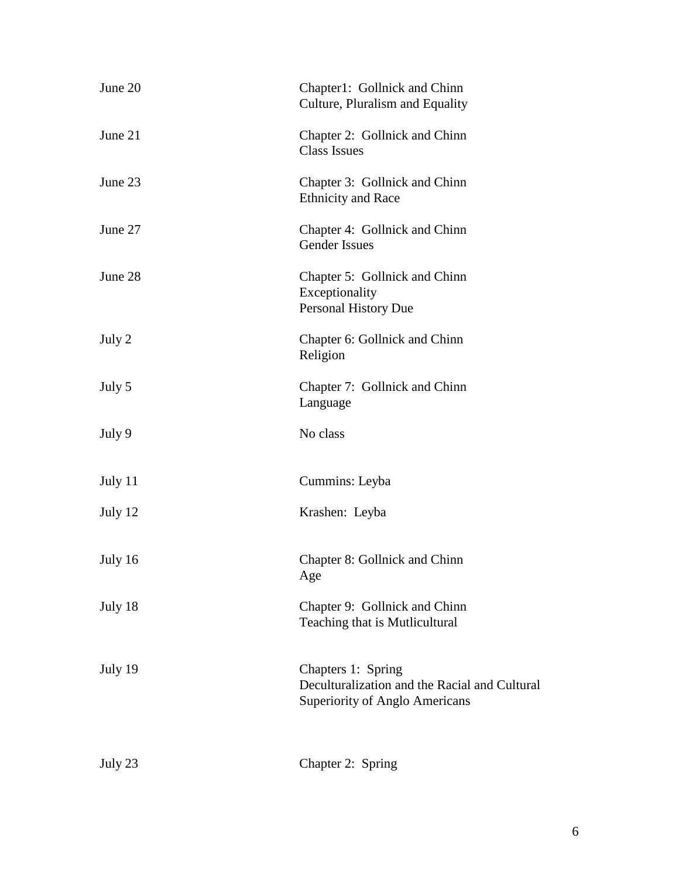| June 20 | Chapter1: Gollnick and Chinn<br>Culture, Pluralism and Equality                                       |
|---------|-------------------------------------------------------------------------------------------------------|
| June 21 | Chapter 2: Gollnick and Chinn<br><b>Class Issues</b>                                                  |
| June 23 | Chapter 3: Gollnick and Chinn<br><b>Ethnicity and Race</b>                                            |
| June 27 | Chapter 4: Gollnick and Chinn<br><b>Gender Issues</b>                                                 |
| June 28 | Chapter 5: Gollnick and Chinn<br>Exceptionality<br><b>Personal History Due</b>                        |
| July 2  | Chapter 6: Gollnick and Chinn<br>Religion                                                             |
| July 5  | Chapter 7: Gollnick and Chinn<br>Language                                                             |
| July 9  | No class                                                                                              |
| July 11 | Cummins: Leyba                                                                                        |
| July 12 | Krashen: Leyba                                                                                        |
| July 16 | Chapter 8: Gollnick and Chinn<br>Age                                                                  |
| July 18 | Chapter 9: Gollnick and Chinn<br>Teaching that is Mutlicultural                                       |
| July 19 | Chapters 1: Spring<br>Deculturalization and the Racial and Cultural<br>Superiority of Anglo Americans |
| July 23 | Chapter 2: Spring                                                                                     |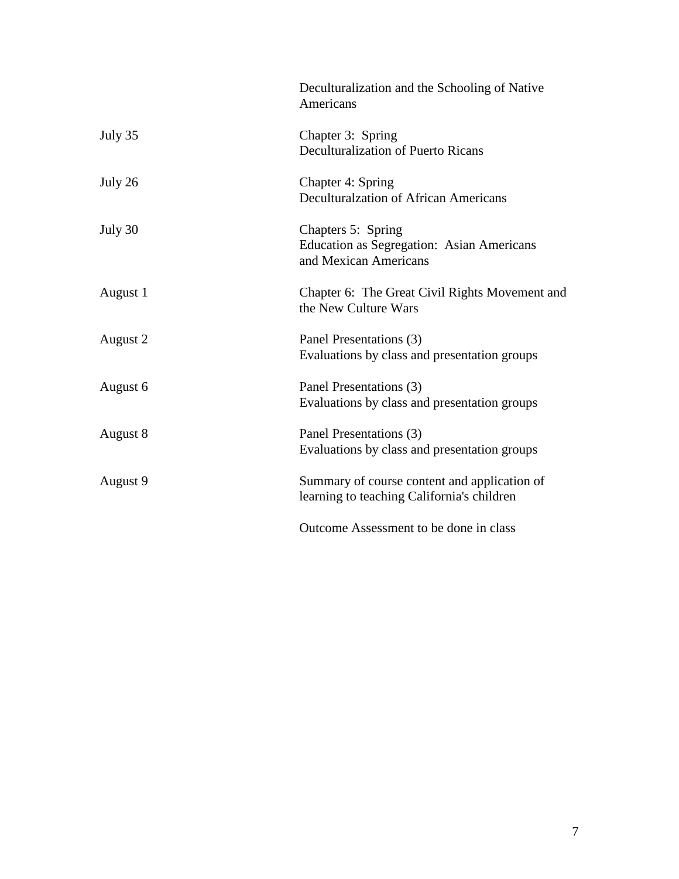|          | Deculturalization and the Schooling of Native<br>Americans                                      |
|----------|-------------------------------------------------------------------------------------------------|
| July 35  | Chapter 3: Spring<br>Deculturalization of Puerto Ricans                                         |
| July 26  | Chapter 4: Spring<br>Deculturalzation of African Americans                                      |
| July 30  | Chapters 5: Spring<br><b>Education as Segregation: Asian Americans</b><br>and Mexican Americans |
| August 1 | Chapter 6: The Great Civil Rights Movement and<br>the New Culture Wars                          |
| August 2 | Panel Presentations (3)<br>Evaluations by class and presentation groups                         |
| August 6 | Panel Presentations (3)<br>Evaluations by class and presentation groups                         |
| August 8 | Panel Presentations (3)<br>Evaluations by class and presentation groups                         |
| August 9 | Summary of course content and application of<br>learning to teaching California's children      |
|          | Outcome Assessment to be done in class                                                          |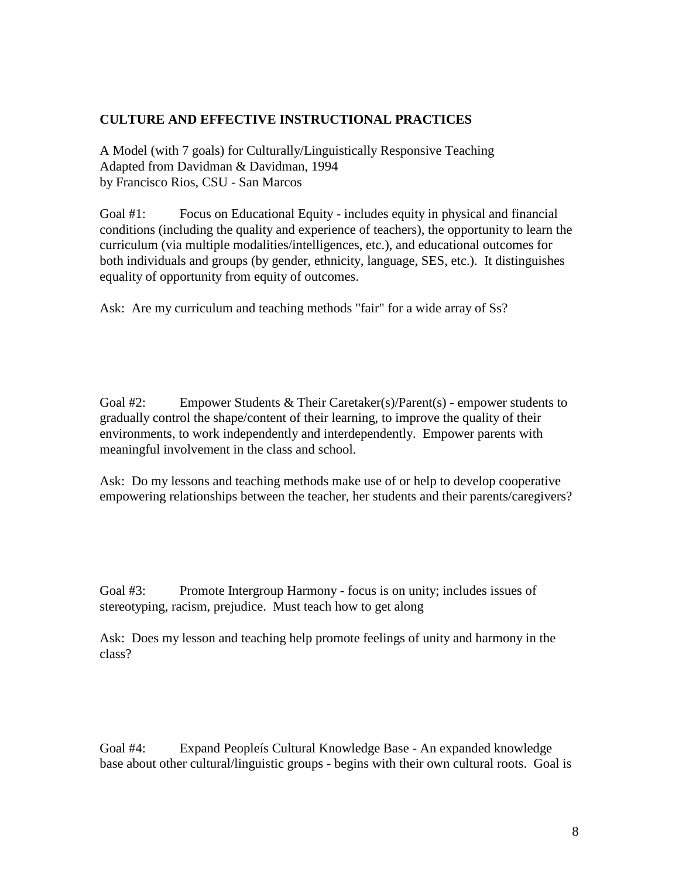### **CULTURE AND EFFECTIVE INSTRUCTIONAL PRACTICES**

A Model (with 7 goals) for Culturally/Linguistically Responsive Teaching Adapted from Davidman & Davidman, 1994 by Francisco Rios, CSU - San Marcos

Goal #1: Focus on Educational Equity - includes equity in physical and financial conditions (including the quality and experience of teachers), the opportunity to learn the curriculum (via multiple modalities/intelligences, etc.), and educational outcomes for both individuals and groups (by gender, ethnicity, language, SES, etc.). It distinguishes equality of opportunity from equity of outcomes.

Ask: Are my curriculum and teaching methods "fair" for a wide array of Ss?

Goal #2: Empower Students & Their Caretaker(s)/Parent(s) - empower students to gradually control the shape/content of their learning, to improve the quality of their environments, to work independently and interdependently. Empower parents with meaningful involvement in the class and school.

Ask: Do my lessons and teaching methods make use of or help to develop cooperative empowering relationships between the teacher, her students and their parents/caregivers?

Goal #3: Promote Intergroup Harmony - focus is on unity; includes issues of stereotyping, racism, prejudice. Must teach how to get along

Ask: Does my lesson and teaching help promote feelings of unity and harmony in the class?

Goal #4: Expand Peopleís Cultural Knowledge Base - An expanded knowledge base about other cultural/linguistic groups - begins with their own cultural roots. Goal is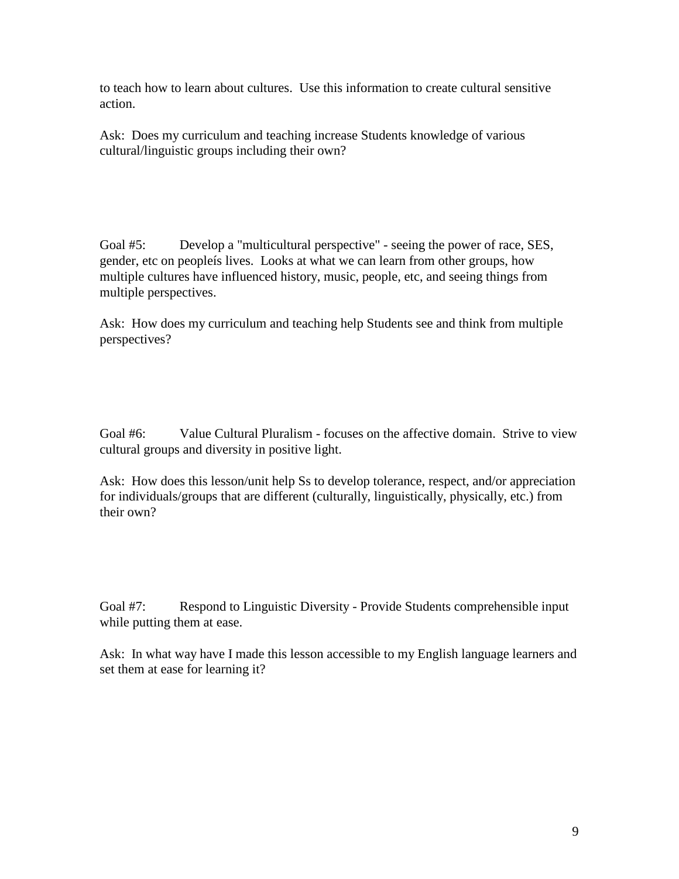to teach how to learn about cultures. Use this information to create cultural sensitive action.

Ask: Does my curriculum and teaching increase Students knowledge of various cultural/linguistic groups including their own?

Goal #5: Develop a "multicultural perspective" - seeing the power of race, SES, gender, etc on peopleís lives. Looks at what we can learn from other groups, how multiple cultures have influenced history, music, people, etc, and seeing things from multiple perspectives.

Ask: How does my curriculum and teaching help Students see and think from multiple perspectives?

Goal #6: Value Cultural Pluralism - focuses on the affective domain. Strive to view cultural groups and diversity in positive light.

Ask: How does this lesson/unit help Ss to develop tolerance, respect, and/or appreciation for individuals/groups that are different (culturally, linguistically, physically, etc.) from their own?

Goal #7: Respond to Linguistic Diversity - Provide Students comprehensible input while putting them at ease.

Ask: In what way have I made this lesson accessible to my English language learners and set them at ease for learning it?